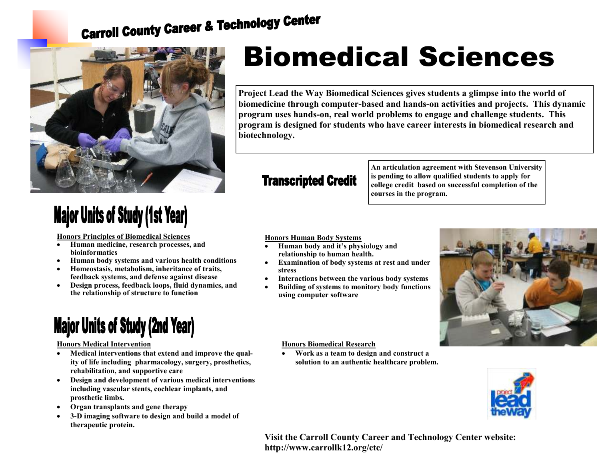# **Carroll County Career & Technology Center**



## **Major Units of Study (1st Year)**

**Honors Principles of Biomedical Sciences**

- **Human medicine, research processes, and bioinformatics**
- **Human body systems and various health conditions**
- **Homeostasis, metabolism, inheritance of traits, feedback systems, and defense against disease**
- **Design process, feedback loops, fluid dynamics, andthe relationship of structure to function**

### **Major Units of Study (2nd Year)**

#### **Honors Medical Intervention**

- **Medical interventions that extend and improve the quality of life including pharmacology, surgery, prosthetics, rehabilitation, and supportive care**
- **Design and development of various medical interventions including vascular stents, cochlear implants, and prosthetic limbs.**
- **Organ transplants and gene therapy**
- **3-D imaging software to design and build a model oftherapeutic protein.**

## Biomedical Sciences

**Project Lead the Way Biomedical Sciences gives students a glimpse into the world of biomedicine through computer-based and hands-on activities and projects. This dynamic program uses hands-on, real world problems to engage and challenge students. This program is designed for students who have career interests in biomedical research and biotechnology.** 

### **Transcripted Credit**

**An articulation agreement with Stevenson Universityis pending to allow qualified students to apply for college credit based on successful completion of the courses in the program.** 

**Honors Human Body Systems**

- **Human body and it's physiology and relationship to human health.**
- **Examination of body systems at rest and under stress**
- **Interactions between the various body systems**
- **Building of systems to monitory body functions using computer software**



**Honors Biomedical Research**

 • **Work as a team to design and construct a solution to an authentic healthcare problem.** 



**Visit the Carroll County Career and Technology Center website: http://www.carrollk12.org/ctc/**